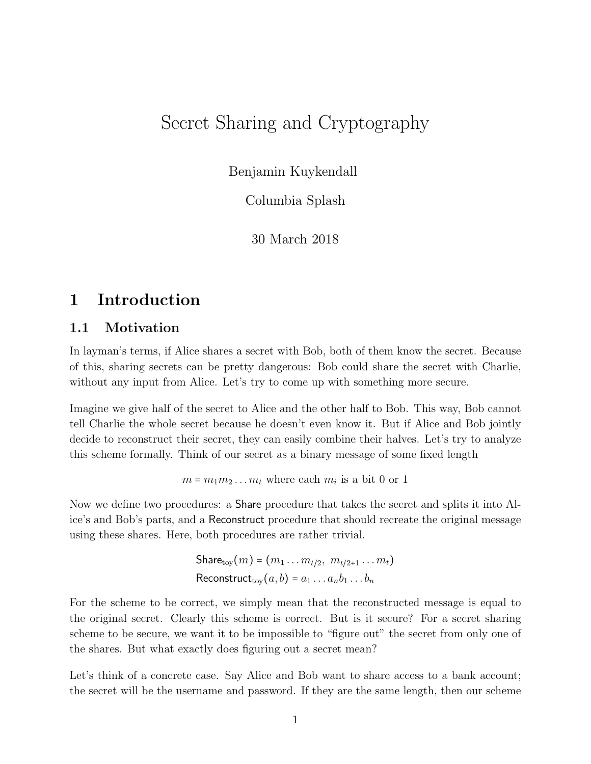# Secret Sharing and Cryptography

Benjamin Kuykendall

Columbia Splash

30 March 2018

## 1 Introduction

### 1.1 Motivation

In layman's terms, if Alice shares a secret with Bob, both of them know the secret. Because of this, sharing secrets can be pretty dangerous: Bob could share the secret with Charlie, without any input from Alice. Let's try to come up with something more secure.

Imagine we give half of the secret to Alice and the other half to Bob. This way, Bob cannot tell Charlie the whole secret because he doesn't even know it. But if Alice and Bob jointly decide to reconstruct their secret, they can easily combine their halves. Let's try to analyze this scheme formally. Think of our secret as a binary message of some fixed length

 $m = m_1 m_2 \dots m_t$  where each  $m_i$  is a bit 0 or 1

Now we define two procedures: a Share procedure that takes the secret and splits it into Alice's and Bob's parts, and a Reconstruct procedure that should recreate the original message using these shares. Here, both procedures are rather trivial.

> Share $_{\text{tow}}(m) = (m_1 \dots m_{t/2}, m_{t/2+1} \dots m_t)$ Reconstruct<sub>tov</sub> $(a, b) = a_1 \dots a_n b_1 \dots b_n$

For the scheme to be correct, we simply mean that the reconstructed message is equal to the original secret. Clearly this scheme is correct. But is it secure? For a secret sharing scheme to be secure, we want it to be impossible to "figure out" the secret from only one of the shares. But what exactly does figuring out a secret mean?

Let's think of a concrete case. Say Alice and Bob want to share access to a bank account; the secret will be the username and password. If they are the same length, then our scheme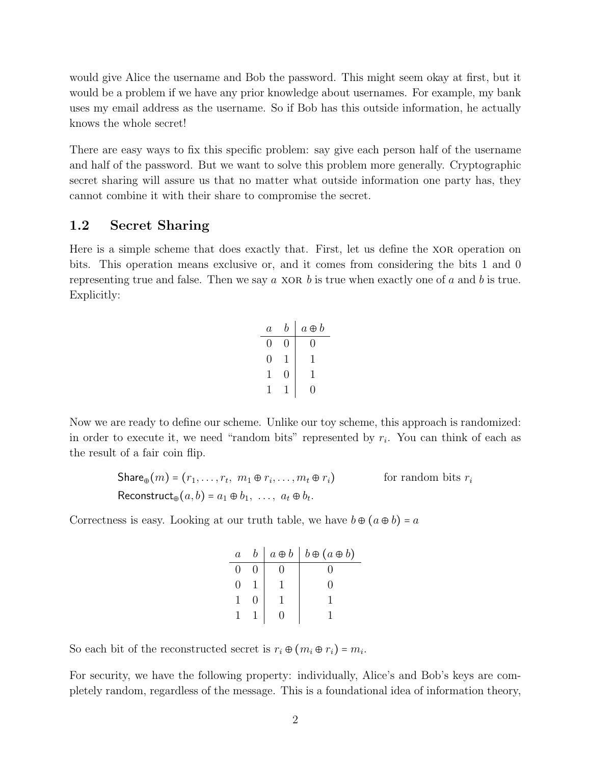would give Alice the username and Bob the password. This might seem okay at first, but it would be a problem if we have any prior knowledge about usernames. For example, my bank uses my email address as the username. So if Bob has this outside information, he actually knows the whole secret!

There are easy ways to fix this specific problem: say give each person half of the username and half of the password. But we want to solve this problem more generally. Cryptographic secret sharing will assure us that no matter what outside information one party has, they cannot combine it with their share to compromise the secret.

### 1.2 Secret Sharing

Here is a simple scheme that does exactly that. First, let us define the XOR operation on bits. This operation means exclusive or, and it comes from considering the bits 1 and 0 representing true and false. Then we say  $a$  XOR  $b$  is true when exactly one of  $a$  and  $b$  is true. Explicitly:

| $\overline{a}$   | b | $a \oplus b$ |  |  |
|------------------|---|--------------|--|--|
| $\left( \right)$ | 0 | 0            |  |  |
| 0                |   | 1            |  |  |
| ı                | 0 | 1            |  |  |
|                  |   | 0            |  |  |

Now we are ready to define our scheme. Unlike our toy scheme, this approach is randomized: in order to execute it, we need "random bits" represented by  $r_i$ . You can think of each as the result of a fair coin flip.

$$
\begin{aligned}\n\text{Share}_{\oplus}(m) &= (r_1, \dots, r_t, \ m_1 \oplus r_i, \dots, m_t \oplus r_i) \quad \text{for random bits } r_i \\
\text{Reconstruct}_{\oplus}(a, b) &= a_1 \oplus b_1, \ \dots, \ a_t \oplus b_t.\n\end{aligned}
$$

Correctness is easy. Looking at our truth table, we have  $b \oplus (a \oplus b) = a$ 

| $\overline{a}$ |  | $a \oplus b \mid b \oplus (a \oplus b)$ |  |  |
|----------------|--|-----------------------------------------|--|--|
|                |  |                                         |  |  |
|                |  |                                         |  |  |
|                |  |                                         |  |  |
|                |  |                                         |  |  |

So each bit of the reconstructed secret is  $r_i \oplus (m_i \oplus r_i) = m_i$ .

For security, we have the following property: individually, Alice's and Bob's keys are completely random, regardless of the message. This is a foundational idea of information theory,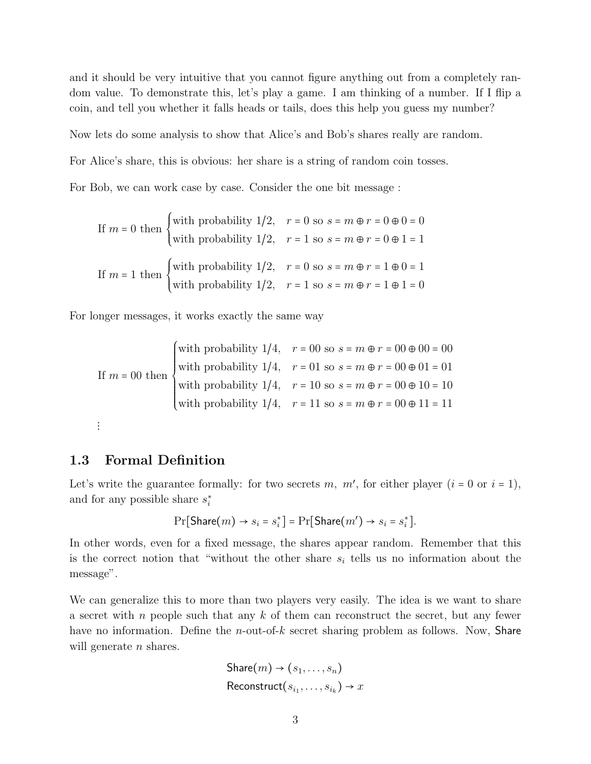and it should be very intuitive that you cannot figure anything out from a completely random value. To demonstrate this, let's play a game. I am thinking of a number. If I flip a coin, and tell you whether it falls heads or tails, does this help you guess my number?

Now lets do some analysis to show that Alice's and Bob's shares really are random.

For Alice's share, this is obvious: her share is a string of random coin tosses.

For Bob, we can work case by case. Consider the one bit message :

If 
$$
m = 0
$$
 then  $\begin{cases} \text{with probability } 1/2, & r = 0 \text{ so } s = m \oplus r = 0 \oplus 0 = 0 \\ \text{with probability } 1/2, & r = 1 \text{ so } s = m \oplus r = 0 \oplus 1 = 1 \end{cases}$   
If  $m = 1$  then  $\begin{cases} \text{with probability } 1/2, & r = 0 \text{ so } s = m \oplus r = 1 \oplus 0 = 1 \\ \text{with probability } 1/2, & r = 1 \text{ so } s = m \oplus r = 1 \oplus 1 = 0 \end{cases}$ 

For longer messages, it works exactly the same way

If 
$$
m = 00
$$
 then  
\nwith probability  $1/4$ ,  $r = 00$  so  $s = m \oplus r = 00 \oplus 00 = 00$   
\nwith probability  $1/4$ ,  $r = 01$  so  $s = m \oplus r = 00 \oplus 01 = 01$   
\nwith probability  $1/4$ ,  $r = 10$  so  $s = m \oplus r = 00 \oplus 10 = 10$   
\nwith probability  $1/4$ ,  $r = 11$  so  $s = m \oplus r = 00 \oplus 11 = 11$ 

```
\vdots
```
#### 1.3 Formal Definition

Let's write the guarantee formally: for two secrets m,  $m'$ , for either player  $(i = 0 \text{ or } i = 1)$ , and for any possible share  $s_i^*$ 

$$
\Pr[\text{Share}(m) \rightarrow s_i = s_i^*] = \Pr[\text{Share}(m') \rightarrow s_i = s_i^*].
$$

In other words, even for a fixed message, the shares appear random. Remember that this is the correct notion that "without the other share  $s_i$  tells us no information about the message".

We can generalize this to more than two players very easily. The idea is we want to share a secret with n people such that any  $k$  of them can reconstruct the secret, but any fewer have no information. Define the *n*-out-of-k secret sharing problem as follows. Now, **Share** will generate  $n$  shares.

```
Share(m) \rightarrow (s_1, \ldots, s_n)
\mathsf{Reconstruct}(s_{i_1}, \ldots, s_{i_k}) \rightarrow x
```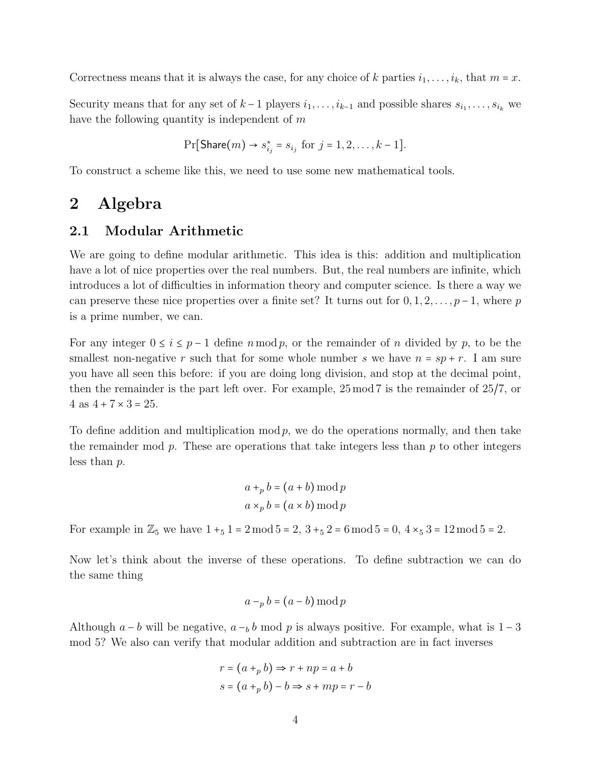Correctness means that it is always the case, for any choice of k parties  $i_1, \ldots, i_k$ , that  $m = x$ .

Security means that for any set of  $k-1$  players  $i_1, \ldots, i_{k-1}$  and possible shares  $s_{i_1}, \ldots, s_{i_k}$  we have the following quantity is independent of  $m$ 

$$
\Pr[\text{Share}(m) \to s_{i_j}^* = s_{i_j} \text{ for } j = 1, 2, \dots, k - 1].
$$

To construct a scheme like this, we need to use some new mathematical tools.

## 2 Algebra

### 2.1 Modular Arithmetic

We are going to define modular arithmetic. This idea is this: addition and multiplication have a lot of nice properties over the real numbers. But, the real numbers are infinite, which introduces a lot of difficulties in information theory and computer science. Is there a way we can preserve these nice properties over a finite set? It turns out for  $0, 1, 2, \ldots, p-1$ , where p is a prime number, we can.

For any integer  $0 \le i \le p-1$  define  $n \mod p$ , or the remainder of n divided by p, to be the smallest non-negative r such that for some whole number s we have  $n = sp + r$ . I am sure you have all seen this before: if you are doing long division, and stop at the decimal point, then the remainder is the part left over. For example, 25 mod 7 is the remainder of 25/7, or  $4 \text{ as } 4 + 7 \times 3 = 25.$ 

To define addition and multiplication mod  $p$ , we do the operations normally, and then take the remainder mod  $p$ . These are operations that take integers less than  $p$  to other integers less than p.

$$
a +_{p} b = (a + b) \mod p
$$

$$
a \times_{p} b = (a \times b) \mod p
$$

For example in  $\mathbb{Z}_5$  we have  $1 +_5 1 = 2 \mod 5 = 2$ ,  $3 +_5 2 = 6 \mod 5 = 0$ ,  $4 \times_5 3 = 12 \mod 5 = 2$ .

Now let's think about the inverse of these operations. To define subtraction we can do the same thing

$$
a -_p b = (a - b) \bmod p
$$

Although  $a - b$  will be negative,  $a - b$  mod p is always positive. For example, what is 1 – 3 mod 5? We also can verify that modular addition and subtraction are in fact inverses

$$
r = (a +_p b) \Rightarrow r + np = a + b
$$
  

$$
s = (a +_p b) - b \Rightarrow s + mp = r - b
$$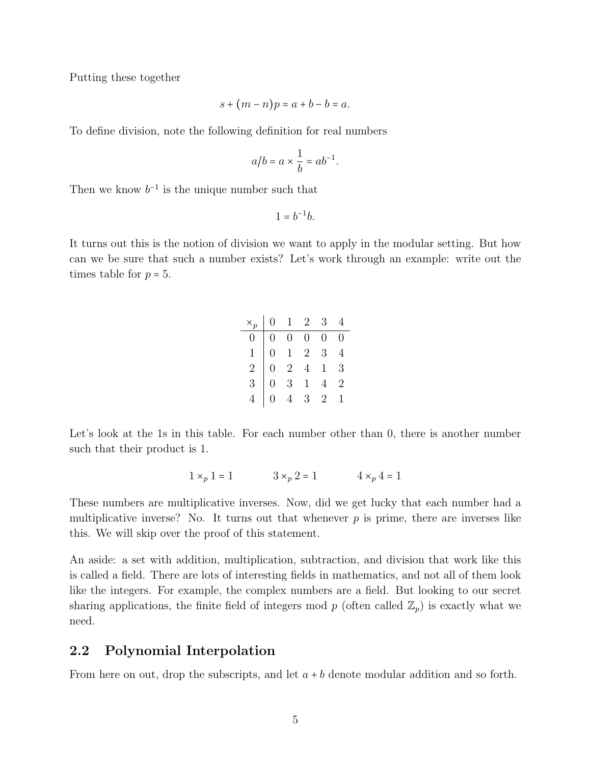Putting these together

$$
s + (m - n)p = a + b - b = a.
$$

To define division, note the following definition for real numbers

$$
a/b = a \times \frac{1}{b} = ab^{-1}.
$$

Then we know  $b^{-1}$  is the unique number such that

 $1 = b^{-1}b$ .

It turns out this is the notion of division we want to apply in the modular setting. But how can we be sure that such a number exists? Let's work through an example: write out the times table for  $p = 5$ .

|                |  | $\times_p$   0 $\begin{array}{ c c c c }\n\hline\n1&2&3&4 \\ \hline\n\end{array}$                                                                                                                                        |  |
|----------------|--|--------------------------------------------------------------------------------------------------------------------------------------------------------------------------------------------------------------------------|--|
|                |  |                                                                                                                                                                                                                          |  |
| $\overline{1}$ |  |                                                                                                                                                                                                                          |  |
|                |  |                                                                                                                                                                                                                          |  |
| $\overline{3}$ |  |                                                                                                                                                                                                                          |  |
|                |  | $\begin{array}{ ccccccccccccccccccc }\hline \circ & 1 & 2 & 3 & 1\ \hline 0 & 0 & 0 & 0 & 0\ \hline 0 & 1 & 2 & 3 & 4\ \hline 0 & 2 & 4 & 1 & 3\ \hline 0 & 3 & 1 & 4 & 2\ \hline 0 & 4 & 3 & 2 & 1\ \hline \end{array}$ |  |

Let's look at the 1s in this table. For each number other than 0, there is another number such that their product is 1.

$$
1 \times_p 1 = 1
$$
  $3 \times_p 2 = 1$   $4 \times_p 4 = 1$ 

These numbers are multiplicative inverses. Now, did we get lucky that each number had a multiplicative inverse? No. It turns out that whenever  $p$  is prime, there are inverses like this. We will skip over the proof of this statement.

An aside: a set with addition, multiplication, subtraction, and division that work like this is called a field. There are lots of interesting fields in mathematics, and not all of them look like the integers. For example, the complex numbers are a field. But looking to our secret sharing applications, the finite field of integers mod p (often called  $\mathbb{Z}_p$ ) is exactly what we need.

## 2.2 Polynomial Interpolation

From here on out, drop the subscripts, and let  $a + b$  denote modular addition and so forth.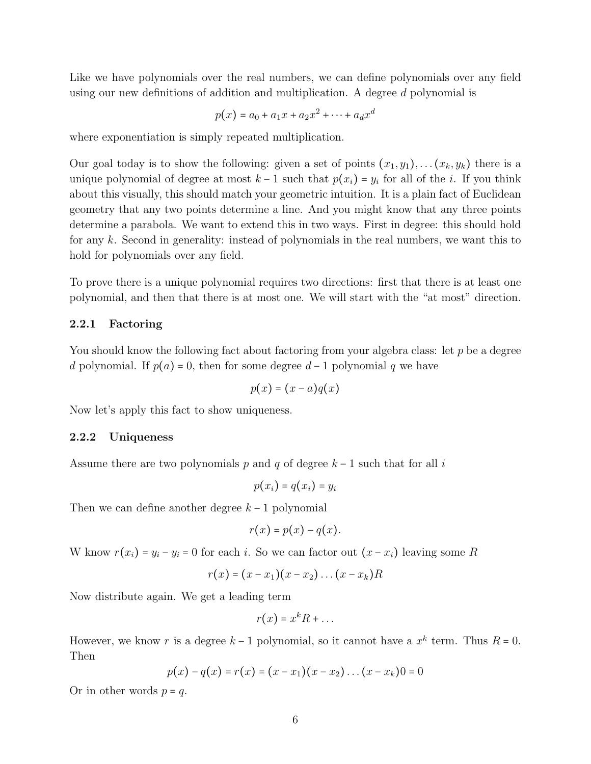Like we have polynomials over the real numbers, we can define polynomials over any field using our new definitions of addition and multiplication. A degree d polynomial is

$$
p(x) = a_0 + a_1 x + a_2 x^2 + \dots + a_d x^d
$$

where exponentiation is simply repeated multiplication.

Our goal today is to show the following: given a set of points  $(x_1, y_1), \ldots, (x_k, y_k)$  there is a unique polynomial of degree at most  $k-1$  such that  $p(x_i) = y_i$  for all of the *i*. If you think about this visually, this should match your geometric intuition. It is a plain fact of Euclidean geometry that any two points determine a line. And you might know that any three points determine a parabola. We want to extend this in two ways. First in degree: this should hold for any k. Second in generality: instead of polynomials in the real numbers, we want this to hold for polynomials over any field.

To prove there is a unique polynomial requires two directions: first that there is at least one polynomial, and then that there is at most one. We will start with the "at most" direction.

#### 2.2.1 Factoring

You should know the following fact about factoring from your algebra class: let  $p$  be a degree d polynomial. If  $p(a) = 0$ , then for some degree  $d-1$  polynomial q we have

$$
p(x) = (x - a)q(x)
$$

Now let's apply this fact to show uniqueness.

#### 2.2.2 Uniqueness

Assume there are two polynomials p and q of degree  $k-1$  such that for all i

$$
p(x_i) = q(x_i) = y_i
$$

Then we can define another degree  $k-1$  polynomial

$$
r(x) = p(x) - q(x).
$$

W know  $r(x_i) = y_i - y_i = 0$  for each i. So we can factor out  $(x - x_i)$  leaving some R

$$
r(x)=(x-x_1)(x-x_2)\ldots(x-x_k)R
$$

Now distribute again. We get a leading term

$$
r(x) = x^k R + \dots
$$

However, we know r is a degree  $k-1$  polynomial, so it cannot have a  $x^k$  term. Thus  $R = 0$ . Then

$$
p(x) - q(x) = r(x) = (x - x_1)(x - x_2) \dots (x - x_k) = 0
$$

Or in other words  $p = q$ .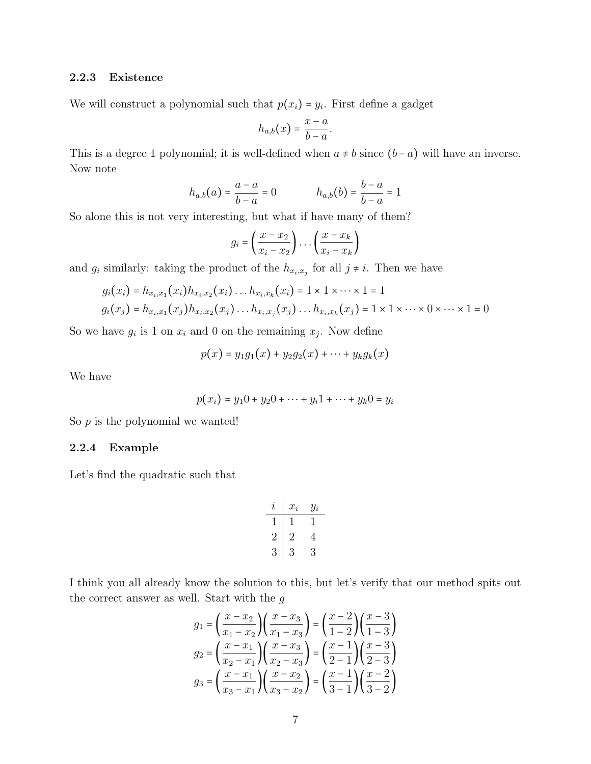#### 2.2.3 Existence

We will construct a polynomial such that  $p(x_i) = y_i$ . First define a gadget

$$
h_{a,b}(x) = \frac{x-a}{b-a}.
$$

This is a degree 1 polynomial; it is well-defined when  $a \neq b$  since  $(b - a)$  will have an inverse. Now note

$$
h_{a,b}(a) = \frac{a-a}{b-a} = 0
$$
  $h_{a,b}(b) = \frac{b-a}{b-a} = 1$ 

So alone this is not very interesting, but what if have many of them?

$$
g_i = \left(\frac{x - x_2}{x_i - x_2}\right) \dots \left(\frac{x - x_k}{x_i - x_k}\right)
$$

and  $g_i$  similarly: taking the product of the  $h_{x_i,x_j}$  for all  $j \neq i$ . Then we have

$$
g_i(x_i) = h_{x_i,x_1}(x_i)h_{x_i,x_2}(x_i)...h_{x_i,x_k}(x_i) = 1 \times 1 \times ... \times 1 = 1
$$
  

$$
g_i(x_j) = h_{x_i,x_1}(x_j)h_{x_i,x_2}(x_j)...h_{x_i,x_j}(x_j)...h_{x_i,x_k}(x_j) = 1 \times 1 \times ... \times 0 \times ... \times 1 = 0
$$

So we have  $g_i$  is 1 on  $x_i$  and 0 on the remaining  $x_j$ . Now define

$$
p(x) = y_1 g_1(x) + y_2 g_2(x) + \cdots + y_k g_k(x)
$$

We have

$$
p(x_i) = y_1 0 + y_2 0 + \dots + y_i 1 + \dots + y_k 0 = y_i
$$

So  $p$  is the polynomial we wanted!

#### 2.2.4 Example

Let's find the quadratic such that

$$
\begin{array}{c|cc} i & x_i & y_i \\ \hline 1 & 1 & 1 \\ 2 & 2 & 4 \\ 3 & 3 & 3 \end{array}
$$

I think you all already know the solution to this, but let's verify that our method spits out the correct answer as well. Start with the  $g$ 

$$
g_1 = \left(\frac{x - x_2}{x_1 - x_2}\right) \left(\frac{x - x_3}{x_1 - x_3}\right) = \left(\frac{x - 2}{1 - 2}\right) \left(\frac{x - 3}{1 - 3}\right)
$$

$$
g_2 = \left(\frac{x - x_1}{x_2 - x_1}\right) \left(\frac{x - x_3}{x_2 - x_3}\right) = \left(\frac{x - 1}{2 - 1}\right) \left(\frac{x - 3}{2 - 3}\right)
$$

$$
g_3 = \left(\frac{x - x_1}{x_3 - x_1}\right) \left(\frac{x - x_2}{x_3 - x_2}\right) = \left(\frac{x - 1}{3 - 1}\right) \left(\frac{x - 2}{3 - 2}\right)
$$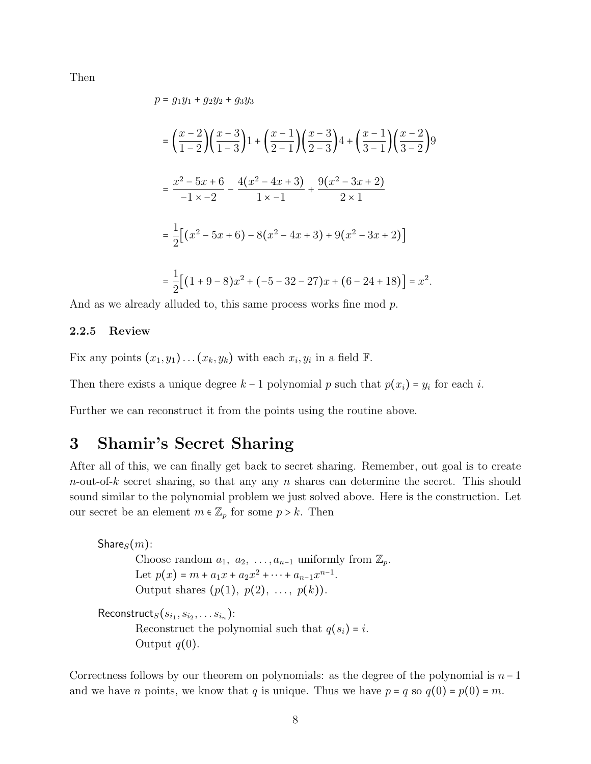Then

$$
p = g_1 y_1 + g_2 y_2 + g_3 y_3
$$
  
=  $\left(\frac{x-2}{1-2}\right) \left(\frac{x-3}{1-3}\right) 1 + \left(\frac{x-1}{2-1}\right) \left(\frac{x-3}{2-3}\right) 4 + \left(\frac{x-1}{3-1}\right) \left(\frac{x-2}{3-2}\right) 9$   
=  $\frac{x^2 - 5x + 6}{-1 \times -2} - \frac{4(x^2 - 4x + 3)}{1 \times -1} + \frac{9(x^2 - 3x + 2)}{2 \times 1}$   
=  $\frac{1}{2} \left[ (x^2 - 5x + 6) - 8(x^2 - 4x + 3) + 9(x^2 - 3x + 2) \right]$   
=  $\frac{1}{2} \left[ (1 + 9 - 8)x^2 + (-5 - 32 - 27)x + (6 - 24 + 18) \right] = x^2.$ 

And as we already alluded to, this same process works fine mod p.

#### 2.2.5 Review

Fix any points  $(x_1, y_1) \dots (x_k, y_k)$  with each  $x_i, y_i$  in a field  $\mathbb{F}$ .

Then there exists a unique degree  $k-1$  polynomial p such that  $p(x_i) = y_i$  for each i.

Further we can reconstruct it from the points using the routine above.

## 3 Shamir's Secret Sharing

Output  $q(0)$ .

After all of this, we can finally get back to secret sharing. Remember, out goal is to create  $n$ -out-of-k secret sharing, so that any any n shares can determine the secret. This should sound similar to the polynomial problem we just solved above. Here is the construction. Let our secret be an element  $m \in \mathbb{Z}_p$  for some  $p > k$ . Then

 $\textsf{Share}_S(m)$ : Choose random  $a_1, a_2, \ldots, a_{n-1}$  uniformly from  $\mathbb{Z}_p$ . Let  $p(x) = m + a_1x + a_2x^2 + \cdots + a_{n-1}x^{n-1}$ . Output shares  $(p(1), p(2), ..., p(k))$ .  $\mathsf{Reconstruct}_S(s_{i_1}, s_{i_2}, \dots s_{i_n})$ : Reconstruct the polynomial such that  $q(s_i) = i$ .

Correctness follows by our theorem on polynomials: as the degree of the polynomial is  $n-1$ and we have *n* points, we know that *q* is unique. Thus we have  $p = q$  so  $q(0) = p(0) = m$ .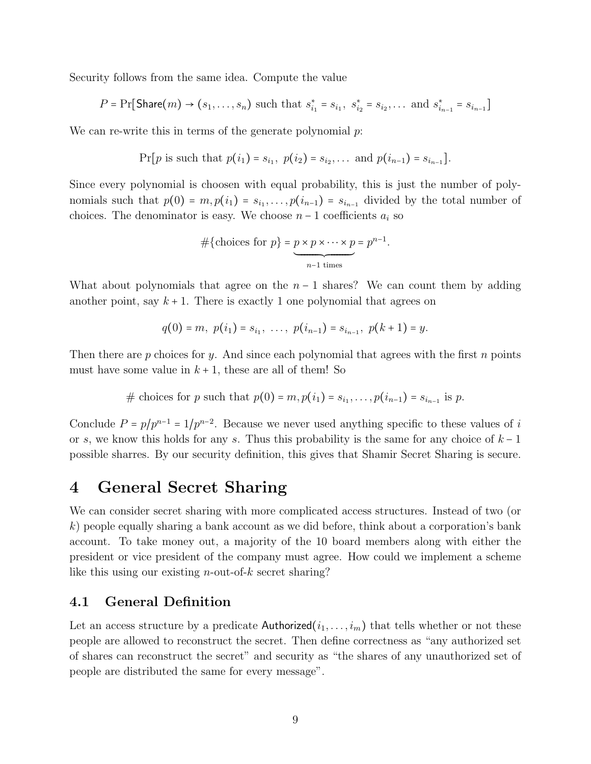Security follows from the same idea. Compute the value

$$
P = \Pr[\text{Share}(m) \to (s_1, \dots, s_n) \text{ such that } s_{i_1}^* = s_{i_1}, s_{i_2}^* = s_{i_2}, \dots \text{ and } s_{i_{n-1}}^* = s_{i_{n-1}}]
$$

We can re-write this in terms of the generate polynomial  $p$ :

$$
Pr[p \text{ is such that } p(i_1) = s_{i_1}, p(i_2) = s_{i_2}, \dots \text{ and } p(i_{n-1}) = s_{i_{n-1}}].
$$

Since every polynomial is choosen with equal probability, this is just the number of polynomials such that  $p(0) = m, p(i_1) = s_{i_1}, \ldots, p(i_{n-1}) = s_{i_{n-1}}$  divided by the total number of choices. The denominator is easy. We choose  $n-1$  coefficients  $a_i$  so

$$
\#\{\text{choices for } p\} = \underbrace{p \times p \times \cdots \times p}_{n-1 \text{ times}} = p^{n-1}.
$$

What about polynomials that agree on the  $n-1$  shares? We can count them by adding another point, say  $k+1$ . There is exactly 1 one polynomial that agrees on

$$
q(0) = m, p(i1) = si1, ..., p(in-1) = sin-1, p(k + 1) = y.
$$

Then there are p choices for y. And since each polynomial that agrees with the first n points must have some value in  $k + 1$ , these are all of them! So

# choices for *p* such that 
$$
p(0) = m, p(i_1) = s_{i_1}, \ldots, p(i_{n-1}) = s_{i_{n-1}}
$$
 is *p*.

Conclude  $P = p/p^{n-1} = 1/p^{n-2}$ . Because we never used anything specific to these values of i or s, we know this holds for any s. Thus this probability is the same for any choice of  $k-1$ possible sharres. By our security definition, this gives that Shamir Secret Sharing is secure.

## 4 General Secret Sharing

We can consider secret sharing with more complicated access structures. Instead of two (or k) people equally sharing a bank account as we did before, think about a corporation's bank account. To take money out, a majority of the 10 board members along with either the president or vice president of the company must agree. How could we implement a scheme like this using our existing  $n$ -out-of-k secret sharing?

## 4.1 General Definition

Let an access structure by a predicate Authorized $(i_1, \ldots, i_m)$  that tells whether or not these people are allowed to reconstruct the secret. Then define correctness as "any authorized set of shares can reconstruct the secret" and security as "the shares of any unauthorized set of people are distributed the same for every message".